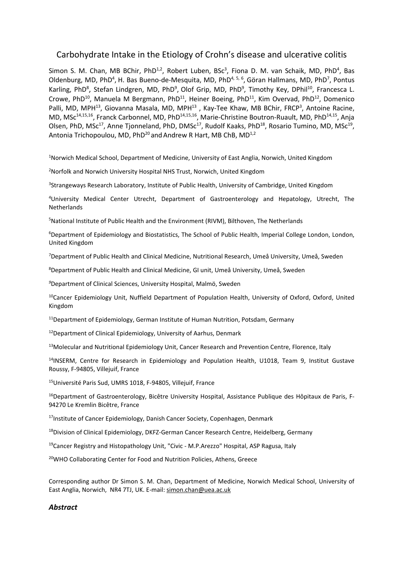# Carbohydrate Intake in the Etiology of Crohn's disease and ulcerative colitis

Simon S. M. Chan, MB BChir, PhD<sup>1,2</sup>, Robert Luben, BSc<sup>3</sup>, Fiona D. M. van Schaik, MD, PhD<sup>4</sup>, Bas Oldenburg, MD, PhD<sup>4</sup>, H. Bas Bueno-de-Mesquita, MD, PhD<sup>4, 5, 6</sup>, Göran Hallmans, MD, PhD<sup>7</sup>, Pontus Karling, PhD<sup>8</sup>, Stefan Lindgren, MD, PhD<sup>9</sup>, Olof Grip, MD, PhD<sup>9</sup>, Timothy Key, DPhil<sup>10</sup>, Francesca L. Crowe, PhD<sup>10</sup>, Manuela M Bergmann, PhD<sup>11</sup>, Heiner Boeing, PhD<sup>11</sup>, Kim Overvad, PhD<sup>12</sup>, Domenico Palli, MD, MPH<sup>13</sup>, Giovanna Masala, MD, MPH<sup>13</sup>, Kay-Tee Khaw, MB BChir, FRCP<sup>3</sup>, Antoine Racine, MD, MSc<sup>14,15,16</sup>, Franck Carbonnel, MD, PhD<sup>14,15,16</sup>, Marie-Christine Boutron-Ruault, MD, PhD<sup>14,15</sup>, Anja Olsen, PhD, MSc<sup>17</sup>, Anne Tjonneland, PhD, DMSc<sup>17</sup>, Rudolf Kaaks, PhD<sup>18</sup>, Rosario Tumino, MD, MSc<sup>19</sup>, Antonia Trichopoulou, MD,  $PhD^{20}$  and Andrew R Hart, MB ChB, MD<sup>1,2</sup>

<sup>1</sup>Norwich Medical School, Department of Medicine, University of East Anglia, Norwich, United Kingdom

<sup>2</sup>Norfolk and Norwich University Hospital NHS Trust, Norwich, United Kingdom

<sup>3</sup>Strangeways Research Laboratory, Institute of Public Health, University of Cambridge, United Kingdom

<sup>4</sup>University Medical Center Utrecht, Department of Gastroenterology and Hepatology, Utrecht, The **Netherlands** 

<sup>5</sup>National Institute of Public Health and the Environment (RIVM), Bilthoven, The Netherlands

<sup>6</sup>Department of Epidemiology and Biostatistics, The School of Public Health, Imperial College London, London, United Kingdom

<sup>7</sup>Department of Public Health and Clinical Medicine, Nutritional Research, Umeå University, Umeå, Sweden

<sup>8</sup>Department of Public Health and Clinical Medicine, GI unit, Umeå University, Umeå, Sweden

*<sup>9</sup>*Department of Clinical Sciences, University Hospital, Malmö, Sweden

<sup>10</sup>Cancer Epidemiology Unit, Nuffield Department of Population Health, University of Oxford, Oxford, United Kingdom

 $11$ Department of Epidemiology, German Institute of Human Nutrition, Potsdam, Germany

<sup>12</sup>Department of Clinical Epidemiology, University of Aarhus, Denmark

13Molecular and Nutritional Epidemiology Unit, Cancer Research and Prevention Centre, Florence, Italy

 $14$ INSERM, Centre for Research in Epidemiology and Population Health, U1018, Team 9, Institut Gustave Roussy, F-94805, Villejuif, France

<sup>15</sup>Université Paris Sud, UMRS 1018, F-94805, Villejuif, France

<sup>16</sup>Department of Gastroenterology, Bicêtre University Hospital, Assistance Publique des Hôpitaux de Paris, F-94270 Le Kremlin Bicêtre, France

<sup>17</sup>Institute of Cancer Epidemiology, Danish Cancer Society, Copenhagen, Denmark

<sup>18</sup>Division of Clinical Epidemiology, DKFZ-German Cancer Research Centre, Heidelberg, Germany

<sup>19</sup>Cancer Registry and Histopathology Unit, "Civic - M.P.Arezzo" Hospital, ASP Ragusa, Italy

<sup>20</sup>WHO Collaborating Center for Food and Nutrition Policies, Athens, Greece

Corresponding author Dr Simon S. M. Chan, Department of Medicine, Norwich Medical School, University of East Anglia, Norwich, NR4 7TJ, UK. E-mail: simon.chan@uea.ac.uk

## *Abstract*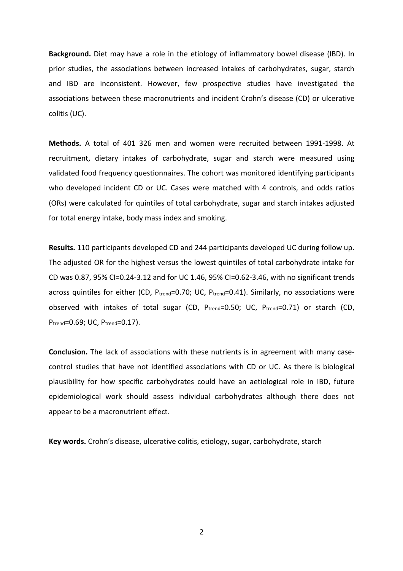**Background.** Diet may have a role in the etiology of inflammatory bowel disease (IBD). In prior studies, the associations between increased intakes of carbohydrates, sugar, starch and IBD are inconsistent. However, few prospective studies have investigated the associations between these macronutrients and incident Crohn's disease (CD) or ulcerative colitis (UC).

**Methods.** A total of 401 326 men and women were recruited between 1991-1998. At recruitment, dietary intakes of carbohydrate, sugar and starch were measured using validated food frequency questionnaires. The cohort was monitored identifying participants who developed incident CD or UC. Cases were matched with 4 controls, and odds ratios (ORs) were calculated for quintiles of total carbohydrate, sugar and starch intakes adjusted for total energy intake, body mass index and smoking.

**Results.** 110 participants developed CD and 244 participants developed UC during follow up. The adjusted OR for the highest versus the lowest quintiles of total carbohydrate intake for CD was 0.87, 95% CI=0.24-3.12 and for UC 1.46, 95% CI=0.62-3.46, with no significant trends across quintiles for either (CD,  $P_{trend}$ =0.70; UC,  $P_{trend}$ =0.41). Similarly, no associations were observed with intakes of total sugar (CD, Ptrend=0.50; UC, Ptrend=0.71) or starch (CD, P<sub>trend</sub>=0.69; UC, P<sub>trend</sub>=0.17).

**Conclusion.** The lack of associations with these nutrients is in agreement with many casecontrol studies that have not identified associations with CD or UC. As there is biological plausibility for how specific carbohydrates could have an aetiological role in IBD, future epidemiological work should assess individual carbohydrates although there does not appear to be a macronutrient effect.

**Key words.** Crohn's disease, ulcerative colitis, etiology, sugar, carbohydrate, starch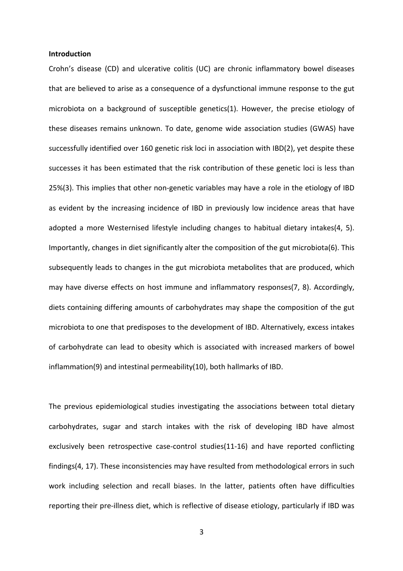#### **Introduction**

Crohn's disease (CD) and ulcerative colitis (UC) are chronic inflammatory bowel diseases that are believed to arise as a consequence of a dysfunctional immune response to the gut microbiota on a background of susceptible genetics(1). However, the precise etiology of these diseases remains unknown. To date, genome wide association studies (GWAS) have successfully identified over 160 genetic risk loci in association with IBD(2), yet despite these successes it has been estimated that the risk contribution of these genetic loci is less than 25%(3). This implies that other non-genetic variables may have a role in the etiology of IBD as evident by the increasing incidence of IBD in previously low incidence areas that have adopted a more Westernised lifestyle including changes to habitual dietary intakes(4, 5). Importantly, changes in diet significantly alter the composition of the gut microbiota(6). This subsequently leads to changes in the gut microbiota metabolites that are produced, which may have diverse effects on host immune and inflammatory responses(7, 8). Accordingly, diets containing differing amounts of carbohydrates may shape the composition of the gut microbiota to one that predisposes to the development of IBD. Alternatively, excess intakes of carbohydrate can lead to obesity which is associated with increased markers of bowel inflammation(9) and intestinal permeability(10), both hallmarks of IBD.

The previous epidemiological studies investigating the associations between total dietary carbohydrates, sugar and starch intakes with the risk of developing IBD have almost exclusively been retrospective case-control studies(11-16) and have reported conflicting findings(4, 17). These inconsistencies may have resulted from methodological errors in such work including selection and recall biases. In the latter, patients often have difficulties reporting their pre-illness diet, which is reflective of disease etiology, particularly if IBD was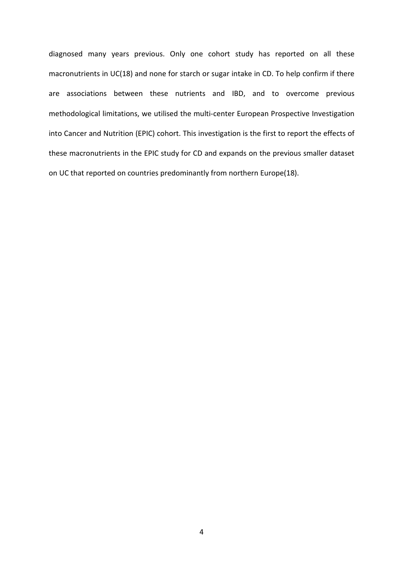diagnosed many years previous. Only one cohort study has reported on all these macronutrients in UC(18) and none for starch or sugar intake in CD. To help confirm if there are associations between these nutrients and IBD, and to overcome previous methodological limitations, we utilised the multi-center European Prospective Investigation into Cancer and Nutrition (EPIC) cohort. This investigation is the first to report the effects of these macronutrients in the EPIC study for CD and expands on the previous smaller dataset on UC that reported on countries predominantly from northern Europe(18).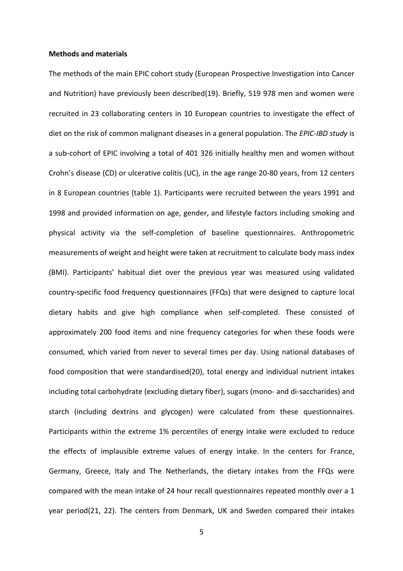#### **Methods and materials**

The methods of the main EPIC cohort study (European Prospective Investigation into Cancer and Nutrition) have previously been described(19). Briefly, 519 978 men and women were recruited in 23 collaborating centers in 10 European countries to investigate the effect of diet on the risk of common malignant diseases in a general population. The *EPIC-IBD study* is a sub-cohort of EPIC involving a total of 401 326 initially healthy men and women without Crohn's disease (CD) or ulcerative colitis (UC), in the age range 20-80 years, from 12 centers in 8 European countries (table 1). Participants were recruited between the years 1991 and 1998 and provided information on age, gender, and lifestyle factors including smoking and physical activity via the self-completion of baseline questionnaires. Anthropometric measurements of weight and height were taken at recruitment to calculate body mass index (BMI). Participants' habitual diet over the previous year was measured using validated country-specific food frequency questionnaires (FFQs) that were designed to capture local dietary habits and give high compliance when self-completed. These consisted of approximately 200 food items and nine frequency categories for when these foods were consumed, which varied from never to several times per day. Using national databases of food composition that were standardised(20), total energy and individual nutrient intakes including total carbohydrate (excluding dietary fiber), sugars (mono- and di-saccharides) and starch (including dextrins and glycogen) were calculated from these questionnaires. Participants within the extreme 1% percentiles of energy intake were excluded to reduce the effects of implausible extreme values of energy intake. In the centers for France, Germany, Greece, Italy and The Netherlands, the dietary intakes from the FFQs were compared with the mean intake of 24 hour recall questionnaires repeated monthly over a 1 year period(21, 22). The centers from Denmark, UK and Sweden compared their intakes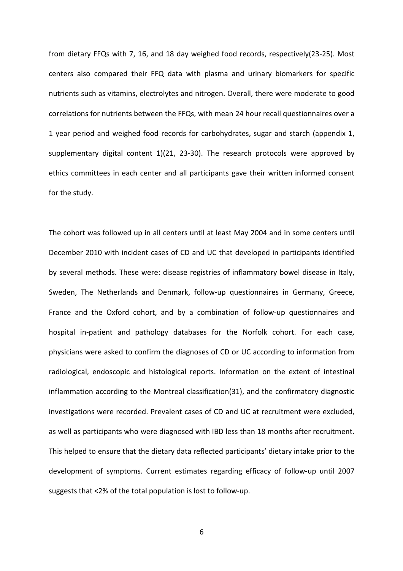from dietary FFQs with 7, 16, and 18 day weighed food records, respectively(23-25). Most centers also compared their FFQ data with plasma and urinary biomarkers for specific nutrients such as vitamins, electrolytes and nitrogen. Overall, there were moderate to good correlations for nutrients between the FFQs, with mean 24 hour recall questionnaires over a 1 year period and weighed food records for carbohydrates, sugar and starch (appendix 1, supplementary digital content 1)(21, 23-30). The research protocols were approved by ethics committees in each center and all participants gave their written informed consent for the study.

The cohort was followed up in all centers until at least May 2004 and in some centers until December 2010 with incident cases of CD and UC that developed in participants identified by several methods. These were: disease registries of inflammatory bowel disease in Italy, Sweden, The Netherlands and Denmark, follow-up questionnaires in Germany, Greece, France and the Oxford cohort, and by a combination of follow-up questionnaires and hospital in-patient and pathology databases for the Norfolk cohort. For each case, physicians were asked to confirm the diagnoses of CD or UC according to information from radiological, endoscopic and histological reports. Information on the extent of intestinal inflammation according to the Montreal classification(31), and the confirmatory diagnostic investigations were recorded. Prevalent cases of CD and UC at recruitment were excluded, as well as participants who were diagnosed with IBD less than 18 months after recruitment. This helped to ensure that the dietary data reflected participants' dietary intake prior to the development of symptoms. Current estimates regarding efficacy of follow-up until 2007 suggests that <2% of the total population is lost to follow-up.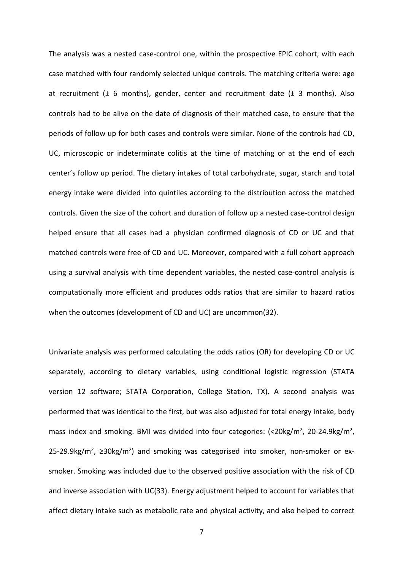The analysis was a nested case-control one, within the prospective EPIC cohort, with each case matched with four randomly selected unique controls. The matching criteria were: age at recruitment ( $\pm$  6 months), gender, center and recruitment date ( $\pm$  3 months). Also controls had to be alive on the date of diagnosis of their matched case, to ensure that the periods of follow up for both cases and controls were similar. None of the controls had CD, UC, microscopic or indeterminate colitis at the time of matching or at the end of each center's follow up period. The dietary intakes of total carbohydrate, sugar, starch and total energy intake were divided into quintiles according to the distribution across the matched controls. Given the size of the cohort and duration of follow up a nested case-control design helped ensure that all cases had a physician confirmed diagnosis of CD or UC and that matched controls were free of CD and UC. Moreover, compared with a full cohort approach using a survival analysis with time dependent variables, the nested case-control analysis is computationally more efficient and produces odds ratios that are similar to hazard ratios when the outcomes (development of CD and UC) are uncommon(32).

Univariate analysis was performed calculating the odds ratios (OR) for developing CD or UC separately, according to dietary variables, using conditional logistic regression (STATA version 12 software; STATA Corporation, College Station, TX). A second analysis was performed that was identical to the first, but was also adjusted for total energy intake, body mass index and smoking. BMI was divided into four categories: (<20kg/m<sup>2</sup>, 20-24.9kg/m<sup>2</sup>, 25-29.9kg/m<sup>2</sup>, ≥30kg/m<sup>2</sup>) and smoking was categorised into smoker, non-smoker or exsmoker. Smoking was included due to the observed positive association with the risk of CD and inverse association with UC(33). Energy adjustment helped to account for variables that affect dietary intake such as metabolic rate and physical activity, and also helped to correct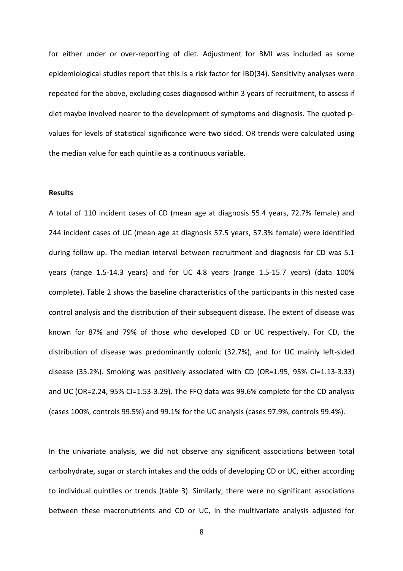for either under or over-reporting of diet. Adjustment for BMI was included as some epidemiological studies report that this is a risk factor for IBD(34). Sensitivity analyses were repeated for the above, excluding cases diagnosed within 3 years of recruitment, to assess if diet maybe involved nearer to the development of symptoms and diagnosis. The quoted pvalues for levels of statistical significance were two sided. OR trends were calculated using the median value for each quintile as a continuous variable.

#### **Results**

A total of 110 incident cases of CD (mean age at diagnosis 55.4 years, 72.7% female) and 244 incident cases of UC (mean age at diagnosis 57.5 years, 57.3% female) were identified during follow up. The median interval between recruitment and diagnosis for CD was 5.1 years (range 1.5-14.3 years) and for UC 4.8 years (range 1.5-15.7 years) (data 100% complete). Table 2 shows the baseline characteristics of the participants in this nested case control analysis and the distribution of their subsequent disease. The extent of disease was known for 87% and 79% of those who developed CD or UC respectively. For CD, the distribution of disease was predominantly colonic (32.7%), and for UC mainly left-sided disease (35.2%). Smoking was positively associated with CD (OR=1.95, 95% CI=1.13-3.33) and UC (OR=2.24, 95% CI=1.53-3.29). The FFQ data was 99.6% complete for the CD analysis (cases 100%, controls 99.5%) and 99.1% for the UC analysis (cases 97.9%, controls 99.4%).

In the univariate analysis, we did not observe any significant associations between total carbohydrate, sugar or starch intakes and the odds of developing CD or UC, either according to individual quintiles or trends (table 3). Similarly, there were no significant associations between these macronutrients and CD or UC, in the multivariate analysis adjusted for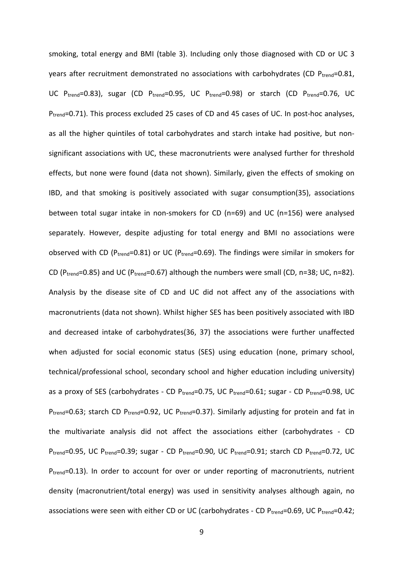smoking, total energy and BMI (table 3). Including only those diagnosed with CD or UC 3 years after recruitment demonstrated no associations with carbohydrates (CD  $P_{trend} = 0.81$ , UC P<sub>trend</sub>=0.83), sugar (CD P<sub>trend</sub>=0.95, UC P<sub>trend</sub>=0.98) or starch (CD P<sub>trend</sub>=0.76, UC P<sub>trend</sub>=0.71). This process excluded 25 cases of CD and 45 cases of UC. In post-hoc analyses, as all the higher quintiles of total carbohydrates and starch intake had positive, but nonsignificant associations with UC, these macronutrients were analysed further for threshold effects, but none were found (data not shown). Similarly, given the effects of smoking on IBD, and that smoking is positively associated with sugar consumption(35), associations between total sugar intake in non-smokers for CD (n=69) and UC (n=156) were analysed separately. However, despite adjusting for total energy and BMI no associations were observed with CD ( $P_{trend}$ =0.81) or UC ( $P_{trend}$ =0.69). The findings were similar in smokers for CD ( $P_{trend}$ =0.85) and UC ( $P_{trend}$ =0.67) although the numbers were small (CD, n=38; UC, n=82). Analysis by the disease site of CD and UC did not affect any of the associations with macronutrients (data not shown). Whilst higher SES has been positively associated with IBD and decreased intake of carbohydrates(36, 37) the associations were further unaffected when adjusted for social economic status (SES) using education (none, primary school, technical/professional school, secondary school and higher education including university) as a proxy of SES (carbohydrates - CD Ptrend=0.75, UC Ptrend=0.61; sugar - CD Ptrend=0.98, UC P<sub>trend</sub>=0.63; starch CD P<sub>trend</sub>=0.92, UC P<sub>trend</sub>=0.37). Similarly adjusting for protein and fat in the multivariate analysis did not affect the associations either (carbohydrates - CD Ptrend=0.95, UC Ptrend=0.39; sugar - CD Ptrend=0.90, UC Ptrend=0.91; starch CD Ptrend=0.72, UC P<sub>trend</sub>=0.13). In order to account for over or under reporting of macronutrients, nutrient density (macronutrient/total energy) was used in sensitivity analyses although again, no associations were seen with either CD or UC (carbohydrates - CD Ptrend=0.69, UC Ptrend=0.42;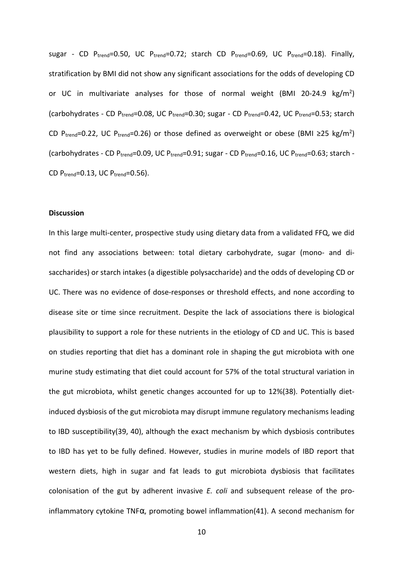sugar - CD  $P_{trend}=0.50$ , UC  $P_{trend}=0.72$ ; starch CD  $P_{trend}=0.69$ , UC  $P_{trend}=0.18$ ). Finally, stratification by BMI did not show any significant associations for the odds of developing CD or UC in multivariate analyses for those of normal weight (BMI 20-24.9  $\text{kg/m}^2$ ) (carbohydrates - CD Ptrend=0.08, UC Ptrend=0.30; sugar - CD Ptrend=0.42, UC Ptrend=0.53; starch CD P<sub>trend</sub>=0.22, UC P<sub>trend</sub>=0.26) or those defined as overweight or obese (BMI ≥25 kg/m<sup>2</sup>) (carbohydrates - CD P<sub>trend</sub>=0.09, UC P<sub>trend</sub>=0.91; sugar - CD P<sub>trend</sub>=0.16, UC P<sub>trend</sub>=0.63; starch -CD  $P_{trend} = 0.13$ , UC  $P_{trend} = 0.56$ ).

#### **Discussion**

In this large multi-center, prospective study using dietary data from a validated FFQ, we did not find any associations between: total dietary carbohydrate, sugar (mono- and disaccharides) or starch intakes (a digestible polysaccharide) and the odds of developing CD or UC. There was no evidence of dose-responses or threshold effects, and none according to disease site or time since recruitment. Despite the lack of associations there is biological plausibility to support a role for these nutrients in the etiology of CD and UC. This is based on studies reporting that diet has a dominant role in shaping the gut microbiota with one murine study estimating that diet could account for 57% of the total structural variation in the gut microbiota, whilst genetic changes accounted for up to 12%(38). Potentially dietinduced dysbiosis of the gut microbiota may disrupt immune regulatory mechanisms leading to IBD susceptibility(39, 40), although the exact mechanism by which dysbiosis contributes to IBD has yet to be fully defined. However, studies in murine models of IBD report that western diets, high in sugar and fat leads to gut microbiota dysbiosis that facilitates colonisation of the gut by adherent invasive *E. coli* and subsequent release of the proinflammatory cytokine TNF $\alpha$ , promoting bowel inflammation(41). A second mechanism for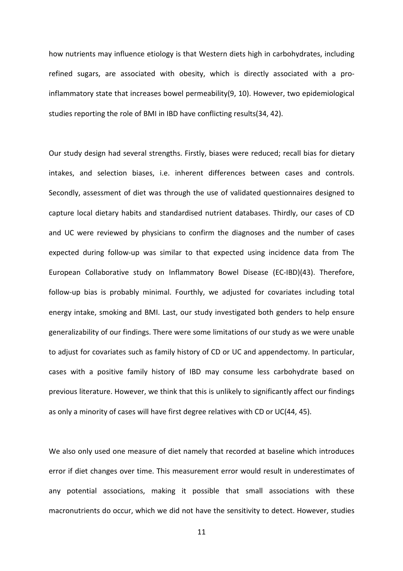how nutrients may influence etiology is that Western diets high in carbohydrates, including refined sugars, are associated with obesity, which is directly associated with a proinflammatory state that increases bowel permeability(9, 10). However, two epidemiological studies reporting the role of BMI in IBD have conflicting results(34, 42).

Our study design had several strengths. Firstly, biases were reduced; recall bias for dietary intakes, and selection biases, i.e. inherent differences between cases and controls. Secondly, assessment of diet was through the use of validated questionnaires designed to capture local dietary habits and standardised nutrient databases. Thirdly, our cases of CD and UC were reviewed by physicians to confirm the diagnoses and the number of cases expected during follow-up was similar to that expected using incidence data from The European Collaborative study on Inflammatory Bowel Disease (EC-IBD)(43). Therefore, follow-up bias is probably minimal. Fourthly, we adjusted for covariates including total energy intake, smoking and BMI. Last, our study investigated both genders to help ensure generalizability of our findings. There were some limitations of our study as we were unable to adjust for covariates such as family history of CD or UC and appendectomy. In particular, cases with a positive family history of IBD may consume less carbohydrate based on previous literature. However, we think that this is unlikely to significantly affect our findings as only a minority of cases will have first degree relatives with CD or UC(44, 45).

We also only used one measure of diet namely that recorded at baseline which introduces error if diet changes over time. This measurement error would result in underestimates of any potential associations, making it possible that small associations with these macronutrients do occur, which we did not have the sensitivity to detect. However, studies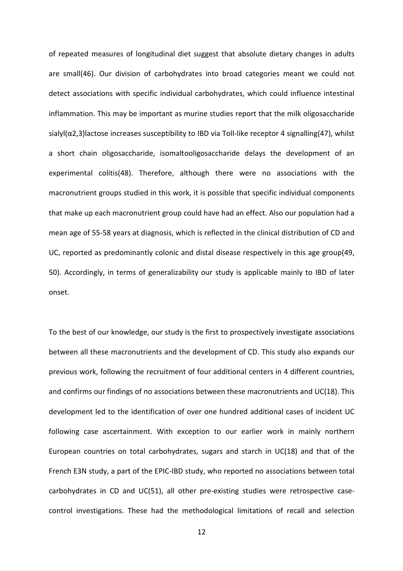of repeated measures of longitudinal diet suggest that absolute dietary changes in adults are small(46). Our division of carbohydrates into broad categories meant we could not detect associations with specific individual carbohydrates, which could influence intestinal inflammation. This may be important as murine studies report that the milk oligosaccharide sialyl(α2,3)lactose increases susceptibility to IBD via Toll-like receptor 4 signalling(47), whilst a short chain oligosaccharide, isomaltooligosaccharide delays the development of an experimental colitis(48). Therefore, although there were no associations with the macronutrient groups studied in this work, it is possible that specific individual components that make up each macronutrient group could have had an effect. Also our population had a mean age of 55-58 years at diagnosis, which is reflected in the clinical distribution of CD and UC, reported as predominantly colonic and distal disease respectively in this age group(49, 50). Accordingly, in terms of generalizability our study is applicable mainly to IBD of later onset.

To the best of our knowledge, our study is the first to prospectively investigate associations between all these macronutrients and the development of CD. This study also expands our previous work, following the recruitment of four additional centers in 4 different countries, and confirms our findings of no associations between these macronutrients and UC(18). This development led to the identification of over one hundred additional cases of incident UC following case ascertainment. With exception to our earlier work in mainly northern European countries on total carbohydrates, sugars and starch in UC(18) and that of the French E3N study, a part of the EPIC-IBD study, who reported no associations between total carbohydrates in CD and UC(51), all other pre-existing studies were retrospective casecontrol investigations. These had the methodological limitations of recall and selection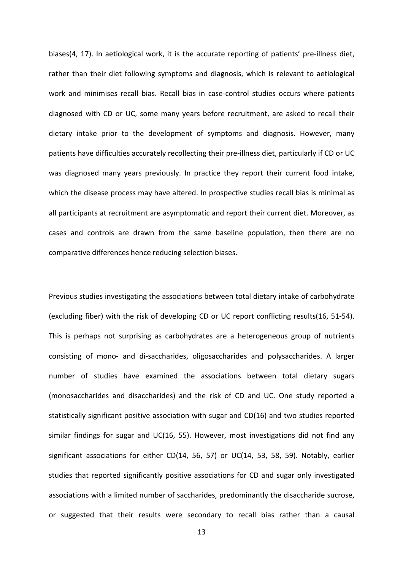biases(4, 17). In aetiological work, it is the accurate reporting of patients' pre-illness diet, rather than their diet following symptoms and diagnosis, which is relevant to aetiological work and minimises recall bias. Recall bias in case-control studies occurs where patients diagnosed with CD or UC, some many years before recruitment, are asked to recall their dietary intake prior to the development of symptoms and diagnosis. However, many patients have difficulties accurately recollecting their pre-illness diet, particularly if CD or UC was diagnosed many years previously. In practice they report their current food intake, which the disease process may have altered. In prospective studies recall bias is minimal as all participants at recruitment are asymptomatic and report their current diet. Moreover, as cases and controls are drawn from the same baseline population, then there are no comparative differences hence reducing selection biases.

Previous studies investigating the associations between total dietary intake of carbohydrate (excluding fiber) with the risk of developing CD or UC report conflicting results(16, 51-54). This is perhaps not surprising as carbohydrates are a heterogeneous group of nutrients consisting of mono- and di-saccharides, oligosaccharides and polysaccharides. A larger number of studies have examined the associations between total dietary sugars (monosaccharides and disaccharides) and the risk of CD and UC. One study reported a statistically significant positive association with sugar and CD(16) and two studies reported similar findings for sugar and UC(16, 55). However, most investigations did not find any significant associations for either CD(14, 56, 57) or UC(14, 53, 58, 59). Notably, earlier studies that reported significantly positive associations for CD and sugar only investigated associations with a limited number of saccharides, predominantly the disaccharide sucrose, or suggested that their results were secondary to recall bias rather than a causal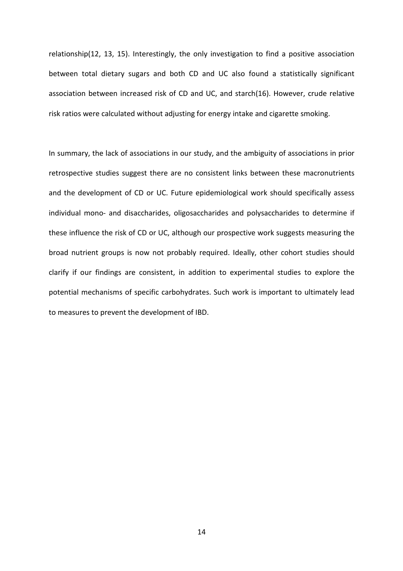relationship(12, 13, 15). Interestingly, the only investigation to find a positive association between total dietary sugars and both CD and UC also found a statistically significant association between increased risk of CD and UC, and starch(16). However, crude relative risk ratios were calculated without adjusting for energy intake and cigarette smoking.

In summary, the lack of associations in our study, and the ambiguity of associations in prior retrospective studies suggest there are no consistent links between these macronutrients and the development of CD or UC. Future epidemiological work should specifically assess individual mono- and disaccharides, oligosaccharides and polysaccharides to determine if these influence the risk of CD or UC, although our prospective work suggests measuring the broad nutrient groups is now not probably required. Ideally, other cohort studies should clarify if our findings are consistent, in addition to experimental studies to explore the potential mechanisms of specific carbohydrates. Such work is important to ultimately lead to measures to prevent the development of IBD.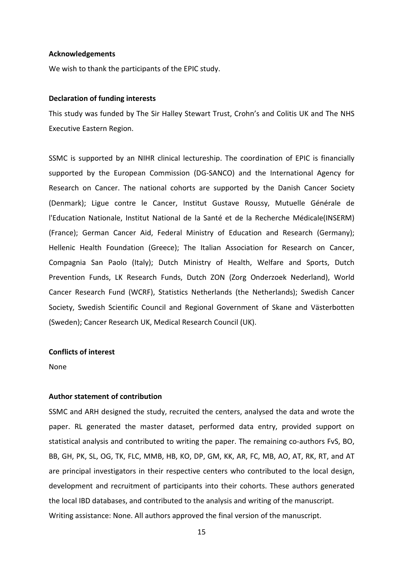#### **Acknowledgements**

We wish to thank the participants of the EPIC study.

#### **Declaration of funding interests**

This study was funded by The Sir Halley Stewart Trust, Crohn's and Colitis UK and The NHS Executive Eastern Region.

SSMC is supported by an NIHR clinical lectureship. The coordination of EPIC is financially supported by the European Commission (DG-SANCO) and the International Agency for Research on Cancer. The national cohorts are supported by the Danish Cancer Society (Denmark); Ligue contre le Cancer, Institut Gustave Roussy, Mutuelle Générale de l'Education Nationale, Institut National de la Santé et de la Recherche Médicale(INSERM) (France); German Cancer Aid, Federal Ministry of Education and Research (Germany); Hellenic Health Foundation (Greece); The Italian Association for Research on Cancer, Compagnia San Paolo (Italy); Dutch Ministry of Health, Welfare and Sports, Dutch Prevention Funds, LK Research Funds, Dutch ZON (Zorg Onderzoek Nederland), World Cancer Research Fund (WCRF), Statistics Netherlands (the Netherlands); Swedish Cancer Society, Swedish Scientific Council and Regional Government of Skane and Västerbotten (Sweden); Cancer Research UK, Medical Research Council (UK).

### **Conflicts of interest**

None

## **Author statement of contribution**

SSMC and ARH designed the study, recruited the centers, analysed the data and wrote the paper. RL generated the master dataset, performed data entry, provided support on statistical analysis and contributed to writing the paper. The remaining co-authors FvS, BO, BB, GH, PK, SL, OG, TK, FLC, MMB, HB, KO, DP, GM, KK, AR, FC, MB, AO, AT, RK, RT, and AT are principal investigators in their respective centers who contributed to the local design, development and recruitment of participants into their cohorts. These authors generated the local IBD databases, and contributed to the analysis and writing of the manuscript. Writing assistance: None. All authors approved the final version of the manuscript.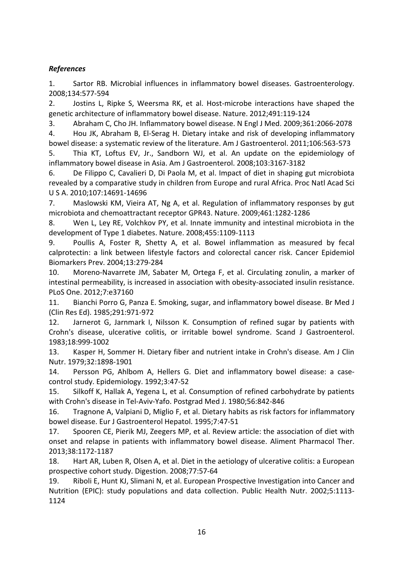# *References*

1. Sartor RB. Microbial influences in inflammatory bowel diseases. Gastroenterology. 2008;134:577-594

2. Jostins L, Ripke S, Weersma RK, et al. Host-microbe interactions have shaped the genetic architecture of inflammatory bowel disease. Nature. 2012;491:119-124

3. Abraham C, Cho JH. Inflammatory bowel disease. N Engl J Med. 2009;361:2066-2078

4. Hou JK, Abraham B, El-Serag H. Dietary intake and risk of developing inflammatory bowel disease: a systematic review of the literature. Am J Gastroenterol. 2011;106:563-573

5. Thia KT, Loftus EV, Jr., Sandborn WJ, et al. An update on the epidemiology of inflammatory bowel disease in Asia. Am J Gastroenterol. 2008;103:3167-3182

6. De Filippo C, Cavalieri D, Di Paola M, et al. Impact of diet in shaping gut microbiota revealed by a comparative study in children from Europe and rural Africa. Proc Natl Acad Sci U S A. 2010;107:14691-14696

7. Maslowski KM, Vieira AT, Ng A, et al. Regulation of inflammatory responses by gut microbiota and chemoattractant receptor GPR43. Nature. 2009;461:1282-1286

8. Wen L, Ley RE, Volchkov PY, et al. Innate immunity and intestinal microbiota in the development of Type 1 diabetes. Nature. 2008;455:1109-1113

9. Poullis A, Foster R, Shetty A, et al. Bowel inflammation as measured by fecal calprotectin: a link between lifestyle factors and colorectal cancer risk. Cancer Epidemiol Biomarkers Prev. 2004;13:279-284

10. Moreno-Navarrete JM, Sabater M, Ortega F, et al. Circulating zonulin, a marker of intestinal permeability, is increased in association with obesity-associated insulin resistance. PLoS One. 2012;7:e37160

11. Bianchi Porro G, Panza E. Smoking, sugar, and inflammatory bowel disease. Br Med J (Clin Res Ed). 1985;291:971-972

12. Jarnerot G, Jarnmark I, Nilsson K. Consumption of refined sugar by patients with Crohn's disease, ulcerative colitis, or irritable bowel syndrome. Scand J Gastroenterol. 1983;18:999-1002

13. Kasper H, Sommer H. Dietary fiber and nutrient intake in Crohn's disease. Am J Clin Nutr. 1979;32:1898-1901

14. Persson PG, Ahlbom A, Hellers G. Diet and inflammatory bowel disease: a casecontrol study. Epidemiology. 1992;3:47-52

15. Silkoff K, Hallak A, Yegena L, et al. Consumption of refined carbohydrate by patients with Crohn's disease in Tel-Aviv-Yafo. Postgrad Med J. 1980;56:842-846

16. Tragnone A, Valpiani D, Miglio F, et al. Dietary habits as risk factors for inflammatory bowel disease. Eur J Gastroenterol Hepatol. 1995;7:47-51

17. Spooren CE, Pierik MJ, Zeegers MP, et al. Review article: the association of diet with onset and relapse in patients with inflammatory bowel disease. Aliment Pharmacol Ther. 2013;38:1172-1187

18. Hart AR, Luben R, Olsen A, et al. Diet in the aetiology of ulcerative colitis: a European prospective cohort study. Digestion. 2008;77:57-64

19. Riboli E, Hunt KJ, Slimani N, et al. European Prospective Investigation into Cancer and Nutrition (EPIC): study populations and data collection. Public Health Nutr. 2002;5:1113- 1124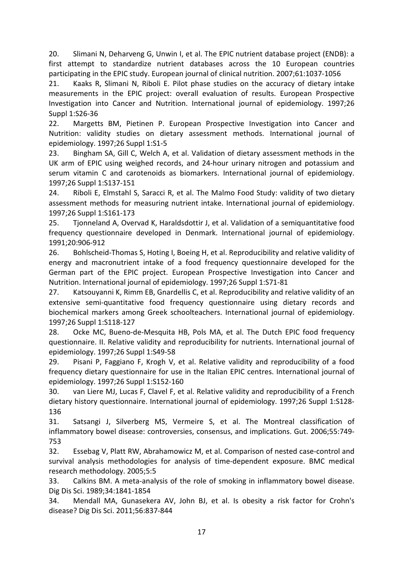20. Slimani N, Deharveng G, Unwin I, et al. The EPIC nutrient database project (ENDB): a first attempt to standardize nutrient databases across the 10 European countries participating in the EPIC study. European journal of clinical nutrition. 2007;61:1037-1056

21. Kaaks R, Slimani N, Riboli E. Pilot phase studies on the accuracy of dietary intake measurements in the EPIC project: overall evaluation of results. European Prospective Investigation into Cancer and Nutrition. International journal of epidemiology. 1997;26 Suppl 1:S26-36

22. Margetts BM, Pietinen P. European Prospective Investigation into Cancer and Nutrition: validity studies on dietary assessment methods. International journal of epidemiology. 1997;26 Suppl 1:S1-5

23. Bingham SA, Gill C, Welch A, et al. Validation of dietary assessment methods in the UK arm of EPIC using weighed records, and 24-hour urinary nitrogen and potassium and serum vitamin C and carotenoids as biomarkers. International journal of epidemiology. 1997;26 Suppl 1:S137-151

24. Riboli E, Elmstahl S, Saracci R, et al. The Malmo Food Study: validity of two dietary assessment methods for measuring nutrient intake. International journal of epidemiology. 1997;26 Suppl 1:S161-173

25. Tjonneland A, Overvad K, Haraldsdottir J, et al. Validation of a semiquantitative food frequency questionnaire developed in Denmark. International journal of epidemiology. 1991;20:906-912

26. Bohlscheid-Thomas S, Hoting I, Boeing H, et al. Reproducibility and relative validity of energy and macronutrient intake of a food frequency questionnaire developed for the German part of the EPIC project. European Prospective Investigation into Cancer and Nutrition. International journal of epidemiology. 1997;26 Suppl 1:S71-81

27. Katsouyanni K, Rimm EB, Gnardellis C, et al. Reproducibility and relative validity of an extensive semi-quantitative food frequency questionnaire using dietary records and biochemical markers among Greek schoolteachers. International journal of epidemiology. 1997;26 Suppl 1:S118-127

28. Ocke MC, Bueno-de-Mesquita HB, Pols MA, et al. The Dutch EPIC food frequency questionnaire. II. Relative validity and reproducibility for nutrients. International journal of epidemiology. 1997;26 Suppl 1:S49-58

29. Pisani P, Faggiano F, Krogh V, et al. Relative validity and reproducibility of a food frequency dietary questionnaire for use in the Italian EPIC centres. International journal of epidemiology. 1997;26 Suppl 1:S152-160

30. van Liere MJ, Lucas F, Clavel F, et al. Relative validity and reproducibility of a French dietary history questionnaire. International journal of epidemiology. 1997;26 Suppl 1:S128- 136

31. Satsangi J, Silverberg MS, Vermeire S, et al. The Montreal classification of inflammatory bowel disease: controversies, consensus, and implications. Gut. 2006;55:749- 753

32. Essebag V, Platt RW, Abrahamowicz M, et al. Comparison of nested case-control and survival analysis methodologies for analysis of time-dependent exposure. BMC medical research methodology. 2005;5:5

33. Calkins BM. A meta-analysis of the role of smoking in inflammatory bowel disease. Dig Dis Sci. 1989;34:1841-1854

34. Mendall MA, Gunasekera AV, John BJ, et al. Is obesity a risk factor for Crohn's disease? Dig Dis Sci. 2011;56:837-844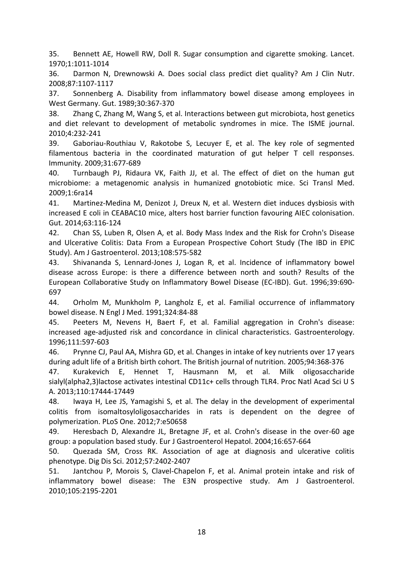35. Bennett AE, Howell RW, Doll R. Sugar consumption and cigarette smoking. Lancet. 1970;1:1011-1014

36. Darmon N, Drewnowski A. Does social class predict diet quality? Am J Clin Nutr. 2008;87:1107-1117

37. Sonnenberg A. Disability from inflammatory bowel disease among employees in West Germany. Gut. 1989;30:367-370

38. Zhang C, Zhang M, Wang S, et al. Interactions between gut microbiota, host genetics and diet relevant to development of metabolic syndromes in mice. The ISME journal. 2010;4:232-241

39. Gaboriau-Routhiau V, Rakotobe S, Lecuyer E, et al. The key role of segmented filamentous bacteria in the coordinated maturation of gut helper T cell responses. Immunity. 2009;31:677-689

40. Turnbaugh PJ, Ridaura VK, Faith JJ, et al. The effect of diet on the human gut microbiome: a metagenomic analysis in humanized gnotobiotic mice. Sci Transl Med. 2009;1:6ra14

41. Martinez-Medina M, Denizot J, Dreux N, et al. Western diet induces dysbiosis with increased E coli in CEABAC10 mice, alters host barrier function favouring AIEC colonisation. Gut. 2014;63:116-124

42. Chan SS, Luben R, Olsen A, et al. Body Mass Index and the Risk for Crohn's Disease and Ulcerative Colitis: Data From a European Prospective Cohort Study (The IBD in EPIC Study). Am J Gastroenterol. 2013;108:575-582

43. Shivananda S, Lennard-Jones J, Logan R, et al. Incidence of inflammatory bowel disease across Europe: is there a difference between north and south? Results of the European Collaborative Study on Inflammatory Bowel Disease (EC-IBD). Gut. 1996;39:690- 697

44. Orholm M, Munkholm P, Langholz E, et al. Familial occurrence of inflammatory bowel disease. N Engl J Med. 1991;324:84-88

45. Peeters M, Nevens H, Baert F, et al. Familial aggregation in Crohn's disease: increased age-adjusted risk and concordance in clinical characteristics. Gastroenterology. 1996;111:597-603

46. Prynne CJ, Paul AA, Mishra GD, et al. Changes in intake of key nutrients over 17 years during adult life of a British birth cohort. The British journal of nutrition. 2005;94:368-376

47. Kurakevich E, Hennet T, Hausmann M, et al. Milk oligosaccharide sialyl(alpha2,3)lactose activates intestinal CD11c+ cells through TLR4. Proc Natl Acad Sci U S A. 2013;110:17444-17449

48. Iwaya H, Lee JS, Yamagishi S, et al. The delay in the development of experimental colitis from isomaltosyloligosaccharides in rats is dependent on the degree of polymerization. PLoS One. 2012;7:e50658

49. Heresbach D, Alexandre JL, Bretagne JF, et al. Crohn's disease in the over-60 age group: a population based study. Eur J Gastroenterol Hepatol. 2004;16:657-664

50. Quezada SM, Cross RK. Association of age at diagnosis and ulcerative colitis phenotype. Dig Dis Sci. 2012;57:2402-2407

51. Jantchou P, Morois S, Clavel-Chapelon F, et al. Animal protein intake and risk of inflammatory bowel disease: The E3N prospective study. Am J Gastroenterol. 2010;105:2195-2201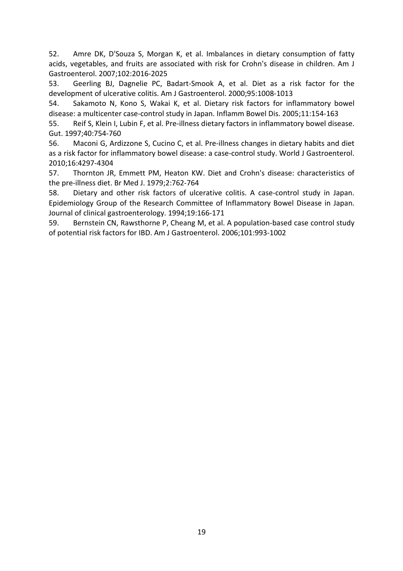52. Amre DK, D'Souza S, Morgan K, et al. Imbalances in dietary consumption of fatty acids, vegetables, and fruits are associated with risk for Crohn's disease in children. Am J Gastroenterol. 2007;102:2016-2025

53. Geerling BJ, Dagnelie PC, Badart-Smook A, et al. Diet as a risk factor for the development of ulcerative colitis. Am J Gastroenterol. 2000;95:1008-1013

54. Sakamoto N, Kono S, Wakai K, et al. Dietary risk factors for inflammatory bowel disease: a multicenter case-control study in Japan. Inflamm Bowel Dis. 2005;11:154-163

55. Reif S, Klein I, Lubin F, et al. Pre-illness dietary factors in inflammatory bowel disease. Gut. 1997;40:754-760

56. Maconi G, Ardizzone S, Cucino C, et al. Pre-illness changes in dietary habits and diet as a risk factor for inflammatory bowel disease: a case-control study. World J Gastroenterol. 2010;16:4297-4304

57. Thornton JR, Emmett PM, Heaton KW. Diet and Crohn's disease: characteristics of the pre-illness diet. Br Med J. 1979;2:762-764

58. Dietary and other risk factors of ulcerative colitis. A case-control study in Japan. Epidemiology Group of the Research Committee of Inflammatory Bowel Disease in Japan. Journal of clinical gastroenterology. 1994;19:166-171

59. Bernstein CN, Rawsthorne P, Cheang M, et al. A population-based case control study of potential risk factors for IBD. Am J Gastroenterol. 2006;101:993-1002